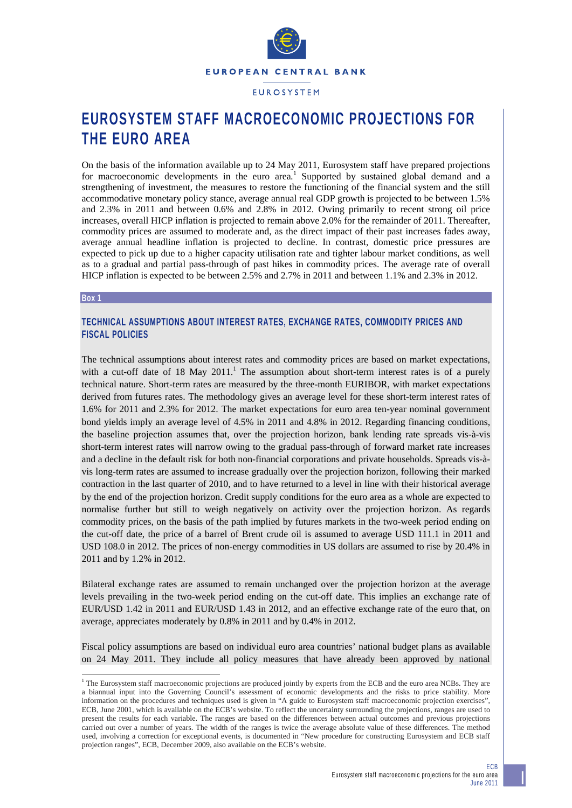

# **EUROSYSTEM STAFF MACROECONOMIC PROJECTIONS FOR THE EURO AREA**

On the basis of the information available up to 24 May 2011, Eurosystem staff have prepared projections for macroeconomic developments in the euro area.<sup>1</sup> Supported by sustained global demand and a strengthening of investment, the measures to restore the functioning of the financial system and the still accommodative monetary policy stance, average annual real GDP growth is projected to be between 1.5% and 2.3% in 2011 and between 0.6% and 2.8% in 2012. Owing primarily to recent strong oil price increases, overall HICP inflation is projected to remain above 2.0% for the remainder of 2011. Thereafter, commodity prices are assumed to moderate and, as the direct impact of their past increases fades away, average annual headline inflation is projected to decline. In contrast, domestic price pressures are expected to pick up due to a higher capacity utilisation rate and tighter labour market conditions, as well as to a gradual and partial pass-through of past hikes in commodity prices. The average rate of overall HICP inflation is expected to be between 2.5% and 2.7% in 2011 and between 1.1% and 2.3% in 2012.

#### **Box 1**

1

# **TECHNICAL ASSUMPTIONS ABOUT INTEREST RATES, EXCHANGE RATES, COMMODITY PRICES AND FISCAL POLICIES**

The technical assumptions about interest rates and commodity prices are based on market expectations, with a cut-off date of 18 May  $2011$ .<sup>1</sup> The assumption about short-term interest rates is of a purely technical nature. Short-term rates are measured by the three-month EURIBOR, with market expectations derived from futures rates. The methodology gives an average level for these short-term interest rates of 1.6% for 2011 and 2.3% for 2012. The market expectations for euro area ten-year nominal government bond yields imply an average level of 4.5% in 2011 and 4.8% in 2012. Regarding financing conditions, the baseline projection assumes that, over the projection horizon, bank lending rate spreads vis-à-vis short-term interest rates will narrow owing to the gradual pass-through of forward market rate increases and a decline in the default risk for both non-financial corporations and private households. Spreads vis-àvis long-term rates are assumed to increase gradually over the projection horizon, following their marked contraction in the last quarter of 2010, and to have returned to a level in line with their historical average by the end of the projection horizon. Credit supply conditions for the euro area as a whole are expected to normalise further but still to weigh negatively on activity over the projection horizon. As regards commodity prices, on the basis of the path implied by futures markets in the two-week period ending on the cut-off date, the price of a barrel of Brent crude oil is assumed to average USD 111.1 in 2011 and USD 108.0 in 2012. The prices of non-energy commodities in US dollars are assumed to rise by 20.4% in 2011 and by 1.2% in 2012.

Bilateral exchange rates are assumed to remain unchanged over the projection horizon at the average levels prevailing in the two-week period ending on the cut-off date. This implies an exchange rate of EUR/USD 1.42 in 2011 and EUR/USD 1.43 in 2012, and an effective exchange rate of the euro that, on average, appreciates moderately by 0.8% in 2011 and by 0.4% in 2012.

Fiscal policy assumptions are based on individual euro area countries' national budget plans as available on 24 May 2011. They include all policy measures that have already been approved by national

<sup>&</sup>lt;sup>1</sup> The Eurosystem staff macroeconomic projections are produced jointly by experts from the ECB and the euro area NCBs. They are a biannual input into the Governing Council's assessment of economic developments and the risks to price stability. More information on the procedures and techniques used is given in "A guide to Eurosystem staff macroeconomic projection exercises", ECB, June 2001, which is available on the ECB's website. To reflect the uncertainty surrounding the projections, ranges are used to present the results for each variable. The ranges are based on the differences between actual outcomes and previous projections carried out over a number of years. The width of the ranges is twice the average absolute value of these differences. The method used, involving a correction for exceptional events, is documented in "New procedure for constructing Eurosystem and ECB staff projection ranges", ECB, December 2009, also available on the ECB's website.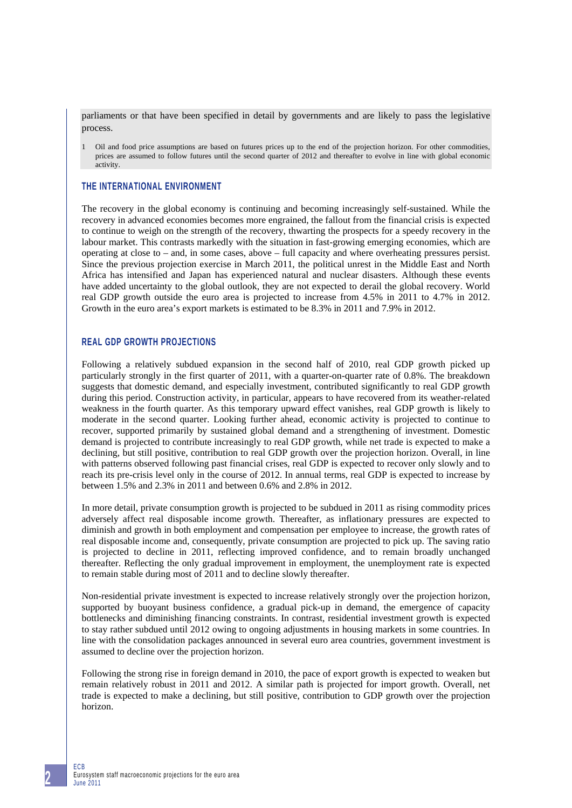parliaments or that have been specified in detail by governments and are likely to pass the legislative process.

1 Oil and food price assumptions are based on futures prices up to the end of the projection horizon. For other commodities, prices are assumed to follow futures until the second quarter of 2012 and thereafter to evolve in line with global economic activity.

# **THE INTERNATIONAL ENVIRONMENT**

The recovery in the global economy is continuing and becoming increasingly self-sustained. While the recovery in advanced economies becomes more engrained, the fallout from the financial crisis is expected to continue to weigh on the strength of the recovery, thwarting the prospects for a speedy recovery in the labour market. This contrasts markedly with the situation in fast-growing emerging economies, which are operating at close to – and, in some cases, above – full capacity and where overheating pressures persist. Since the previous projection exercise in March 2011, the political unrest in the Middle East and North Africa has intensified and Japan has experienced natural and nuclear disasters. Although these events have added uncertainty to the global outlook, they are not expected to derail the global recovery. World real GDP growth outside the euro area is projected to increase from 4.5% in 2011 to 4.7% in 2012. Growth in the euro area's export markets is estimated to be 8.3% in 2011 and 7.9% in 2012.

#### **REAL GDP GROWTH PROJECTIONS**

Following a relatively subdued expansion in the second half of 2010, real GDP growth picked up particularly strongly in the first quarter of 2011, with a quarter-on-quarter rate of 0.8%. The breakdown suggests that domestic demand, and especially investment, contributed significantly to real GDP growth during this period. Construction activity, in particular, appears to have recovered from its weather-related weakness in the fourth quarter. As this temporary upward effect vanishes, real GDP growth is likely to moderate in the second quarter. Looking further ahead, economic activity is projected to continue to recover, supported primarily by sustained global demand and a strengthening of investment. Domestic demand is projected to contribute increasingly to real GDP growth, while net trade is expected to make a declining, but still positive, contribution to real GDP growth over the projection horizon. Overall, in line with patterns observed following past financial crises, real GDP is expected to recover only slowly and to reach its pre-crisis level only in the course of 2012. In annual terms, real GDP is expected to increase by between 1.5% and 2.3% in 2011 and between 0.6% and 2.8% in 2012.

In more detail, private consumption growth is projected to be subdued in 2011 as rising commodity prices adversely affect real disposable income growth. Thereafter, as inflationary pressures are expected to diminish and growth in both employment and compensation per employee to increase, the growth rates of real disposable income and, consequently, private consumption are projected to pick up. The saving ratio is projected to decline in 2011, reflecting improved confidence, and to remain broadly unchanged thereafter. Reflecting the only gradual improvement in employment, the unemployment rate is expected to remain stable during most of 2011 and to decline slowly thereafter.

Non-residential private investment is expected to increase relatively strongly over the projection horizon, supported by buoyant business confidence, a gradual pick-up in demand, the emergence of capacity bottlenecks and diminishing financing constraints. In contrast, residential investment growth is expected to stay rather subdued until 2012 owing to ongoing adjustments in housing markets in some countries. In line with the consolidation packages announced in several euro area countries, government investment is assumed to decline over the projection horizon.

Following the strong rise in foreign demand in 2010, the pace of export growth is expected to weaken but remain relatively robust in 2011 and 2012. A similar path is projected for import growth. Overall, net trade is expected to make a declining, but still positive, contribution to GDP growth over the projection horizon.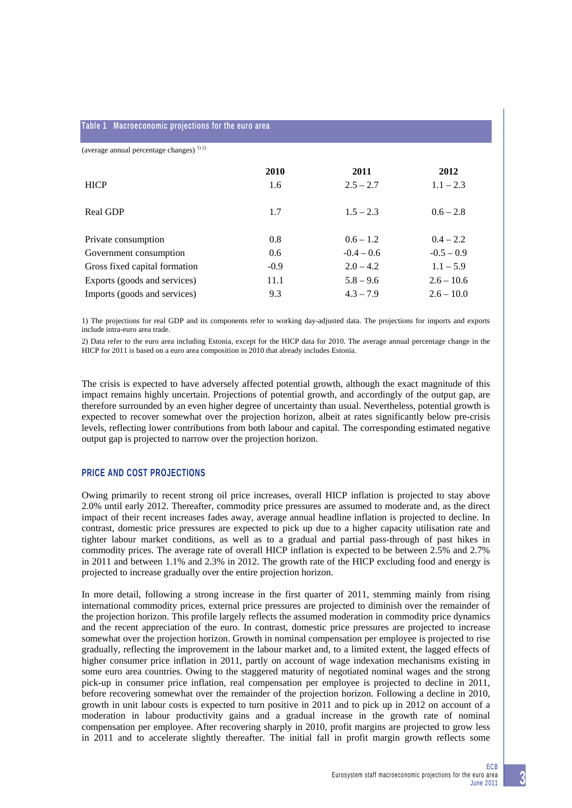#### **Table 1 Macroeconomic projections for the euro area**

(average annual percentage changes)  $^{1/2)}$ 

|                               | 2010   | 2011         | 2012         |
|-------------------------------|--------|--------------|--------------|
| <b>HICP</b>                   | 1.6    | $2.5 - 2.7$  | $1.1 - 2.3$  |
| Real GDP                      | 1.7    | $1.5 - 2.3$  | $0.6 - 2.8$  |
| Private consumption           | 0.8    | $0.6 - 1.2$  | $0.4 - 2.2$  |
| Government consumption        | 0.6    | $-0.4 - 0.6$ | $-0.5 - 0.9$ |
| Gross fixed capital formation | $-0.9$ | $2.0 - 4.2$  | $1.1 - 5.9$  |
| Exports (goods and services)  | 11.1   | $5.8 - 9.6$  | $2.6 - 10.6$ |
| Imports (goods and services)  | 9.3    | $4.3 - 7.9$  | $2.6 - 10.0$ |

1) The projections for real GDP and its components refer to working day-adjusted data. The projections for imports and exports include intra-euro area trade.

2) Data refer to the euro area including Estonia, except for the HICP data for 2010. The average annual percentage change in the HICP for 2011 is based on a euro area composition in 2010 that already includes Estonia.

The crisis is expected to have adversely affected potential growth, although the exact magnitude of this impact remains highly uncertain. Projections of potential growth, and accordingly of the output gap, are therefore surrounded by an even higher degree of uncertainty than usual. Nevertheless, potential growth is expected to recover somewhat over the projection horizon, albeit at rates significantly below pre-crisis levels, reflecting lower contributions from both labour and capital. The corresponding estimated negative output gap is projected to narrow over the projection horizon.

## **PRICE AND COST PROJECTIONS**

Owing primarily to recent strong oil price increases, overall HICP inflation is projected to stay above 2.0% until early 2012. Thereafter, commodity price pressures are assumed to moderate and, as the direct impact of their recent increases fades away, average annual headline inflation is projected to decline. In contrast, domestic price pressures are expected to pick up due to a higher capacity utilisation rate and tighter labour market conditions, as well as to a gradual and partial pass-through of past hikes in commodity prices. The average rate of overall HICP inflation is expected to be between 2.5% and 2.7% in 2011 and between 1.1% and 2.3% in 2012. The growth rate of the HICP excluding food and energy is projected to increase gradually over the entire projection horizon.

In more detail, following a strong increase in the first quarter of 2011, stemming mainly from rising international commodity prices, external price pressures are projected to diminish over the remainder of the projection horizon. This profile largely reflects the assumed moderation in commodity price dynamics and the recent appreciation of the euro. In contrast, domestic price pressures are projected to increase somewhat over the projection horizon. Growth in nominal compensation per employee is projected to rise gradually, reflecting the improvement in the labour market and, to a limited extent, the lagged effects of higher consumer price inflation in 2011, partly on account of wage indexation mechanisms existing in some euro area countries. Owing to the staggered maturity of negotiated nominal wages and the strong pick-up in consumer price inflation, real compensation per employee is projected to decline in 2011, before recovering somewhat over the remainder of the projection horizon. Following a decline in 2010, growth in unit labour costs is expected to turn positive in 2011 and to pick up in 2012 on account of a moderation in labour productivity gains and a gradual increase in the growth rate of nominal compensation per employee. After recovering sharply in 2010, profit margins are projected to grow less in 2011 and to accelerate slightly thereafter. The initial fall in profit margin growth reflects some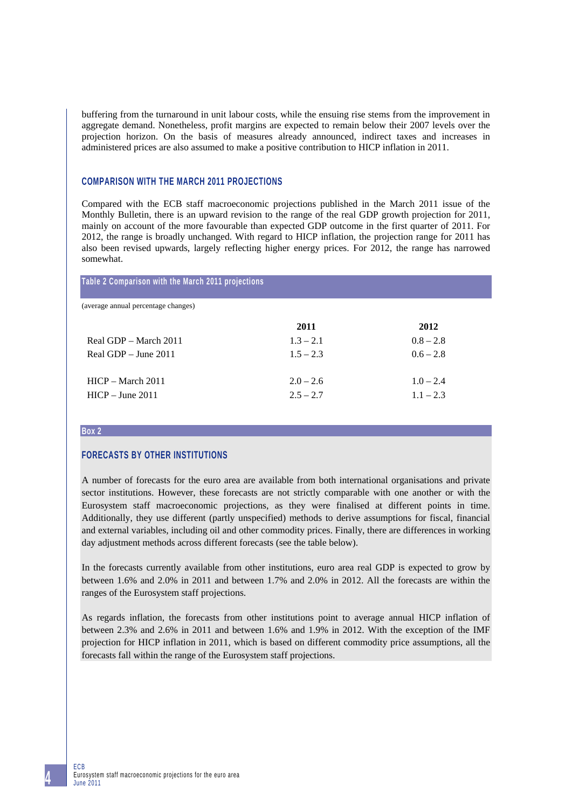buffering from the turnaround in unit labour costs, while the ensuing rise stems from the improvement in aggregate demand. Nonetheless, profit margins are expected to remain below their 2007 levels over the projection horizon. On the basis of measures already announced, indirect taxes and increases in administered prices are also assumed to make a positive contribution to HICP inflation in 2011.

# **COMPARISON WITH THE MARCH 2011 PROJECTIONS**

Compared with the ECB staff macroeconomic projections published in the March 2011 issue of the Monthly Bulletin, there is an upward revision to the range of the real GDP growth projection for 2011, mainly on account of the more favourable than expected GDP outcome in the first quarter of 2011. For 2012, the range is broadly unchanged. With regard to HICP inflation, the projection range for 2011 has also been revised upwards, largely reflecting higher energy prices. For 2012, the range has narrowed somewhat.

## **Table 2 Comparison with the March 2011 projections**

(average annual percentage changes)

|                        | 2011        | 2012        |
|------------------------|-------------|-------------|
| Real GDP – March 2011  | $1.3 - 2.1$ | $0.8 - 2.8$ |
| Real GDP $-$ June 2011 | $1.5 - 2.3$ | $0.6 - 2.8$ |
| $HICP - March 2011$    | $2.0 - 2.6$ | $1.0 - 2.4$ |
| $HICP - June 2011$     | $2.5 - 2.7$ | $1.1 - 2.3$ |

#### **Box 2**

### **FORECASTS BY OTHER INSTITUTIONS**

A number of forecasts for the euro area are available from both international organisations and private sector institutions. However, these forecasts are not strictly comparable with one another or with the Eurosystem staff macroeconomic projections, as they were finalised at different points in time. Additionally, they use different (partly unspecified) methods to derive assumptions for fiscal, financial and external variables, including oil and other commodity prices. Finally, there are differences in working day adjustment methods across different forecasts (see the table below).

In the forecasts currently available from other institutions, euro area real GDP is expected to grow by between 1.6% and 2.0% in 2011 and between 1.7% and 2.0% in 2012. All the forecasts are within the ranges of the Eurosystem staff projections.

As regards inflation, the forecasts from other institutions point to average annual HICP inflation of between 2.3% and 2.6% in 2011 and between 1.6% and 1.9% in 2012. With the exception of the IMF projection for HICP inflation in 2011, which is based on different commodity price assumptions, all the forecasts fall within the range of the Eurosystem staff projections.